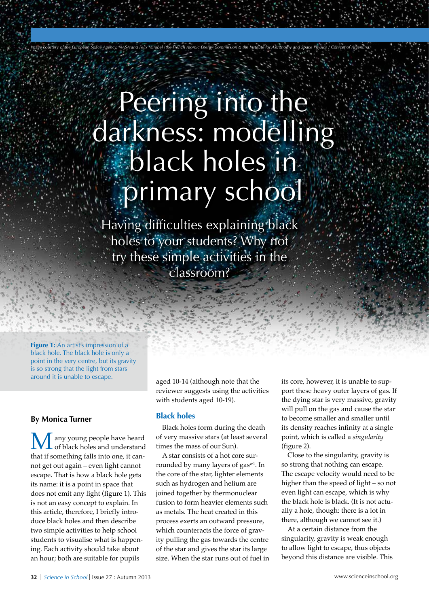# Peering into the darkness: modelling black holes in primary school

*Image courtesy of the European Space Agency, NASA and Felix Mirabel (the French Atomic Energy Commission & the Institute for Astronomy and Space Physics / Conicet of Argentina)*

Having difficulties explaining black holes to your students? Why not try these simple activities in the classroom?

Figure 1: An artist's impression of a black hole. The black hole is only a point in the very centre, but its gravity is so strong that the light from stars around it is unable to escape.

#### **By Monica Turner**

any young people have heard **L** of black holes and understand that if something falls into one, it cannot get out again – even light cannot escape. That is how a black hole gets its name: it is a point in space that does not emit any light (figure 1). This is not an easy concept to explain. In this article, therefore, I briefly introduce black holes and then describe two simple activities to help school students to visualise what is happening. Each activity should take about an hour; both are suitable for pupils

aged 10-14 (although note that the reviewer suggests using the activities with students aged 10-19).

#### **Black holes**

Black holes form during the death of very massive stars (at least several times the mass of our Sun).

A star consists of a hot core surrounded by many layers of gas<sup>w1</sup>. In the core of the star, lighter elements such as hydrogen and helium are joined together by thermonuclear fusion to form heavier elements such as metals. The heat created in this process exerts an outward pressure, which counteracts the force of gravity pulling the gas towards the centre of the star and gives the star its large size. When the star runs out of fuel in its core, however, it is unable to support these heavy outer layers of gas. If the dying star is very massive, gravity will pull on the gas and cause the star to become smaller and smaller until its density reaches infinity at a single point, which is called a *singularity* (figure 2).

Close to the singularity, gravity is so strong that nothing can escape. The escape velocity would need to be higher than the speed of light – so not even light can escape, which is why the black hole is black. (It is not actually a hole, though: there is a lot in there, although we cannot see it.)

At a certain distance from the singularity, gravity is weak enough to allow light to escape, thus objects beyond this distance are visible. This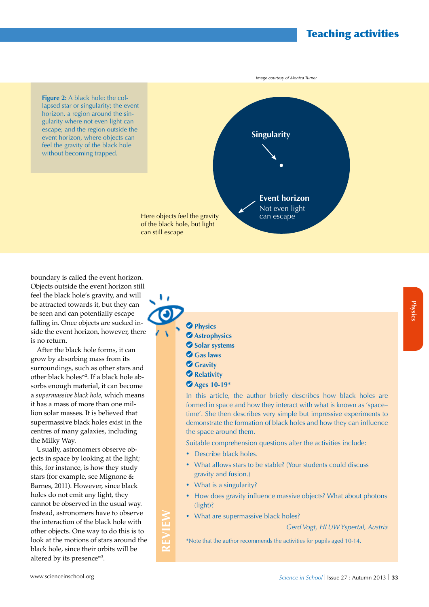# Teaching activities

**Figure 2:** A black hole: the collapsed star or singularity; the event horizon, a region around the singularity where not even light can escape; and the region outside the event horizon, where objects can feel the gravity of the black hole without becoming trapped.



boundary is called the event horizon. Objects outside the event horizon still feel the black hole's gravity, and will be attracted towards it, but they can be seen and can potentially escape falling in. Once objects are sucked inside the event horizon, however, there is no return.

After the black hole forms, it can grow by absorbing mass from its surroundings, such as other stars and other black holesw2. If a black hole absorbs enough material, it can become a *supermassive black hole*, which means it has a mass of more than one million solar masses. It is believed that supermassive black holes exist in the centres of many galaxies, including the Milky Way.

Usually, astronomers observe objects in space by looking at the light; this, for instance, is how they study stars (for example, see Mignone & Barnes, 2011). However, since black holes do not emit any light, they cannot be observed in the usual way. Instead, astronomers have to observe the interaction of the black hole with other objects. One way to do this is to look at the motions of stars around the black hole, since their orbits will be altered by its presencew3.

 **Physics Astrophysics**  $\bullet$  **Solar systems** 

υ,

- **Gas laws**
- **Gravity**
- **Relativity**
- **Ages 10-19\***

In this article, the author briefly describes how black holes are formed in space and how they interact with what is known as 'space– time'. She then describes very simple but impressive experiments to demonstrate the formation of black holes and how they can influence the space around them.

Suitable comprehension questions after the activities include:

- Describe black holes.
- What allows stars to be stable? (Your students could discuss gravity and fusion.)
- What is a singularity?

**REVIEW**

- How does gravity influence massive objects? What about photons (light)?
- What are supermassive black holes?

*Gerd Vogt, HLUW Yspertal, Austria*

\*Note that the author recommends the activities for pupils aged 10-14.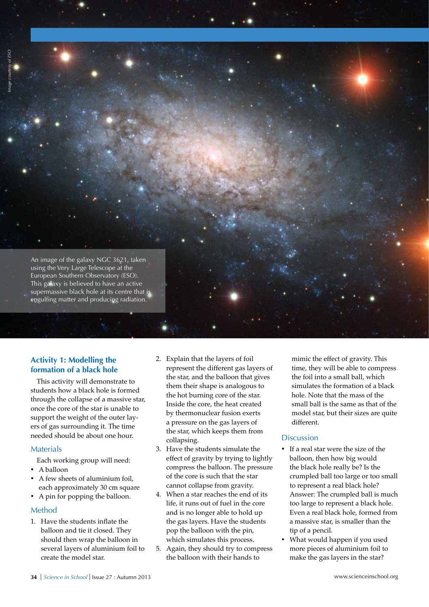An image of the galaxy NGC 3621, taken using the Very Large Telescope at the European Southern Observatory (ESO). This galaxy is believed to have an active supermassive black hole at its centre that is engulfing matter and producing radiation.

# **Activity 1: Modelling the formation of a black hole**

This activity will demonstrate to students how a black hole is formed through the collapse of a massive star, once the core of the star is unable to support the weight of the outer layers of gas surrounding it. The time needed should be about one hour.

# Materials

Each working group will need:

- A balloon
- A few sheets of aluminium foil, each approximately 30 cm square
- • A pin for popping the balloon.

## Method

1. Have the students inflate the balloon and tie it closed. They should then wrap the balloon in several layers of aluminium foil to create the model star.

- 2. Explain that the layers of foil represent the different gas layers of the star, and the balloon that gives them their shape is analogous to the hot burning core of the star. Inside the core, the heat created by thermonuclear fusion exerts a pressure on the gas layers of the star, which keeps them from collapsing.
- 3. Have the students simulate the effect of gravity by trying to lightly compress the balloon. The pressure of the core is such that the star cannot collapse from gravity.
- 4. When a star reaches the end of its life, it runs out of fuel in the core and is no longer able to hold up the gas layers. Have the students pop the balloon with the pin, which simulates this process.
- 5. Again, they should try to compress the balloon with their hands to

mimic the effect of gravity. This time, they will be able to compress the foil into a small ball, which simulates the formation of a black hole. Note that the mass of the small ball is the same as that of the model star, but their sizes are quite different.

# **Discussion**

- • If a real star were the size of the balloon, then how big would the black hole really be? Is the crumpled ball too large or too small to represent a real black hole? Answer: The crumpled ball is much too large to represent a black hole. Even a real black hole, formed from a massive star, is smaller than the tip of a pencil.
- What would happen if you used more pieces of aluminium foil to make the gas layers in the star?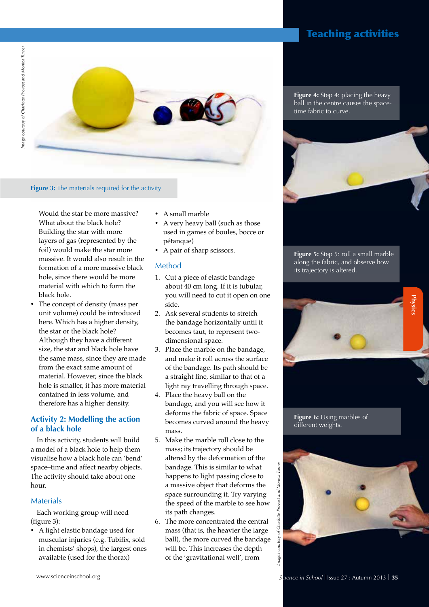

#### **Figure 3:** The materials required for the activity

Would the star be more massive? What about the black hole? Building the star with more layers of gas (represented by the foil) would make the star more massive. It would also result in the formation of a more massive black hole, since there would be more material with which to form the black hole.

The concept of density (mass per unit volume) could be introduced here. Which has a higher density, the star or the black hole? Although they have a different size, the star and black hole have the same mass, since they are made from the exact same amount of material. However, since the black hole is smaller, it has more material contained in less volume, and therefore has a higher density.

## **Activity 2: Modelling the action of a black hole**

In this activity, students will build a model of a black hole to help them visualise how a black hole can 'bend' space–time and affect nearby objects. The activity should take about one hour.

#### Materials

Each working group will need (figure 3):

• A light elastic bandage used for muscular injuries (e.g. Tubifix, sold in chemists' shops), the largest ones available (used for the thorax)

- A small marble
- A very heavy ball (such as those used in games of boules, bocce or pétanque)
- A pair of sharp scissors.

#### Method

- 1. Cut a piece of elastic bandage about 40 cm long. If it is tubular, you will need to cut it open on one side.
- 2. Ask several students to stretch the bandage horizontally until it becomes taut, to represent twodimensional space.
- 3. Place the marble on the bandage, and make it roll across the surface of the bandage. Its path should be a straight line, similar to that of a light ray travelling through space.
- 4. Place the heavy ball on the bandage, and you will see how it deforms the fabric of space. Space becomes curved around the heavy mass.
- 5. Make the marble roll close to the mass; its trajectory should be altered by the deformation of the bandage. This is similar to what happens to light passing close to a massive object that deforms the space surrounding it. Try varying the speed of the marble to see how its path changes.
- 6. The more concentrated the central mass (that is, the heavier the large ball), the more curved the bandage will be. This increases the depth of the 'gravitational well', from

# Teaching activities

**Figure 4:** Step 4: placing the heavy ball in the centre causes the spacetime fabric to curve.



**Figure 5:** Step 5: roll a small marble along the fabric, and observe how its trajectory is altered.



**Figure 6:** Using marbles of different weights.

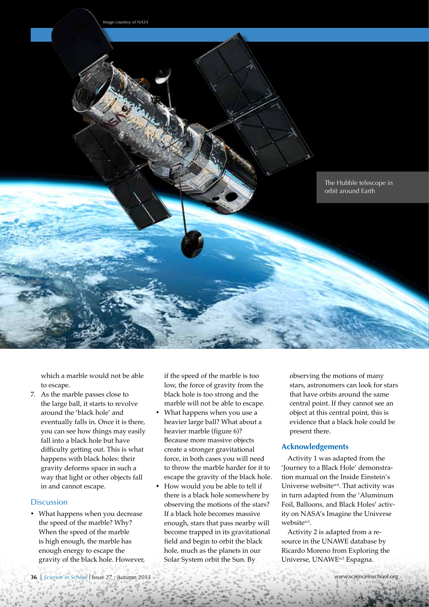

which a marble would not be able to escape.

7. As the marble passes close to the large ball, it starts to revolve around the 'black hole' and eventually falls in. Once it is there, you can see how things may easily fall into a black hole but have difficulty getting out. This is what happens with black holes: their gravity deforms space in such a way that light or other objects fall in and cannot escape.

## **Discussion**

• What happens when you decrease the speed of the marble? Why? When the speed of the marble is high enough, the marble has enough energy to escape the gravity of the black hole. However, if the speed of the marble is too low, the force of gravity from the black hole is too strong and the marble will not be able to escape.

- What happens when you use a heavier large ball? What about a heavier marble (figure 6)? Because more massive objects create a stronger gravitational force, in both cases you will need to throw the marble harder for it to escape the gravity of the black hole.
- How would you be able to tell if there is a black hole somewhere by observing the motions of the stars? If a black hole becomes massive enough, stars that pass nearby will become trapped in its gravitational field and begin to orbit the black hole, much as the planets in our Solar System orbit the Sun. By

observing the motions of many stars, astronomers can look for stars that have orbits around the same central point. If they cannot see an object at this central point, this is evidence that a black hole could be present there.

## **Acknowledgements**

Activity 1 was adapted from the 'Journey to a Black Hole' demonstration manual on the Inside Einstein's Universe websitew4. That activity was in turn adapted from the 'Aluminum Foil, Balloons, and Black Holes' activity on NASA's Imagine the Universe websitew1.

Activity 2 is adapted from a resource in the UNAWE database by Ricardo Moreno from Exploring the Universe, UNAWEw5 Espagna.